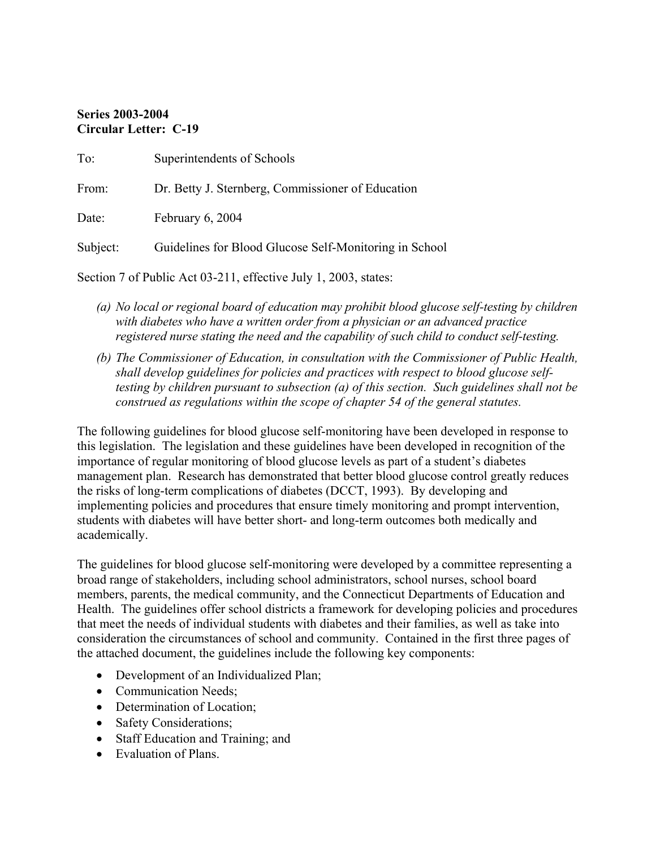# **Series 2003-2004 Circular Letter: C-19**

| To:      | Superintendents of Schools                             |
|----------|--------------------------------------------------------|
| From:    | Dr. Betty J. Sternberg, Commissioner of Education      |
| Date:    | February 6, 2004                                       |
| Subject: | Guidelines for Blood Glucose Self-Monitoring in School |
|          |                                                        |

Section 7 of Public Act 03-211, effective July 1, 2003, states:

- *(a) No local or regional board of education may prohibit blood glucose self-testing by children with diabetes who have a written order from a physician or an advanced practice registered nurse stating the need and the capability of such child to conduct self-testing.*
- *(b) The Commissioner of Education, in consultation with the Commissioner of Public Health, shall develop guidelines for policies and practices with respect to blood glucose selftesting by children pursuant to subsection (a) of this section. Such guidelines shall not be construed as regulations within the scope of chapter 54 of the general statutes.*

The following guidelines for blood glucose self-monitoring have been developed in response to this legislation. The legislation and these guidelines have been developed in recognition of the importance of regular monitoring of blood glucose levels as part of a student's diabetes management plan. Research has demonstrated that better blood glucose control greatly reduces the risks of long-term complications of diabetes (DCCT, 1993). By developing and implementing policies and procedures that ensure timely monitoring and prompt intervention, students with diabetes will have better short- and long-term outcomes both medically and academically.

The guidelines for blood glucose self-monitoring were developed by a committee representing a broad range of stakeholders, including school administrators, school nurses, school board members, parents, the medical community, and the Connecticut Departments of Education and Health. The guidelines offer school districts a framework for developing policies and procedures that meet the needs of individual students with diabetes and their families, as well as take into consideration the circumstances of school and community. Contained in the first three pages of the attached document, the guidelines include the following key components:

- Development of an Individualized Plan;
- Communication Needs;
- Determination of Location;
- Safety Considerations;
- Staff Education and Training; and
- Evaluation of Plans.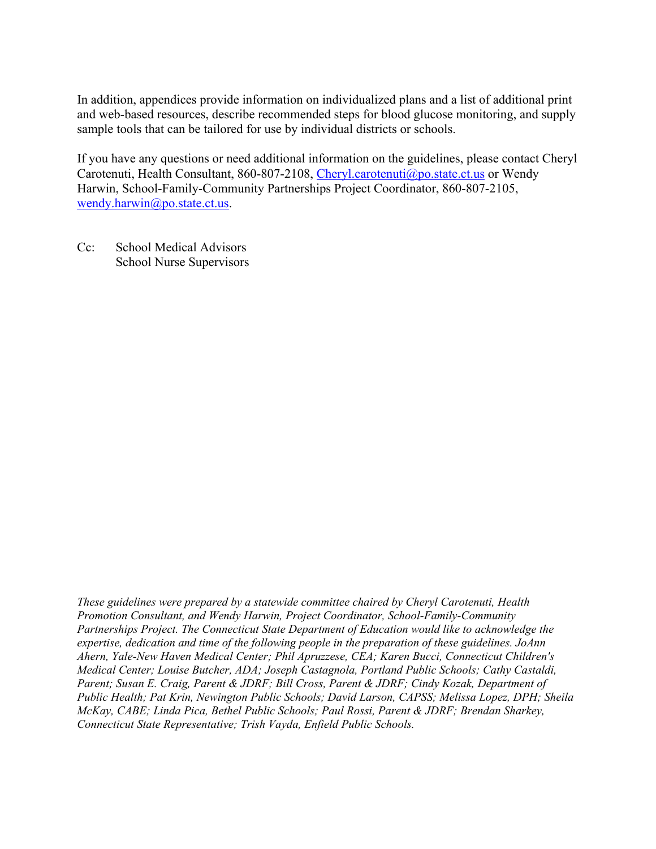In addition, appendices provide information on individualized plans and a list of additional print and web-based resources, describe recommended steps for blood glucose monitoring, and supply sample tools that can be tailored for use by individual districts or schools.

If you have any questions or need additional information on the guidelines, please contact Cheryl Carotenuti, Health Consultant, 860-807-2108, Cheryl.carotenuti@po.state.ct.us or Wendy Harwin, School-Family-Community Partnerships Project Coordinator, 860-807-2105, wendy.harwin@po.state.ct.us.

Cc: School Medical Advisors School Nurse Supervisors

*These guidelines were prepared by a statewide committee chaired by Cheryl Carotenuti, Health Promotion Consultant, and Wendy Harwin, Project Coordinator, School-Family-Community Partnerships Project. The Connecticut State Department of Education would like to acknowledge the expertise, dedication and time of the following people in the preparation of these guidelines. JoAnn Ahern, Yale-New Haven Medical Center; Phil Apruzzese, CEA; Karen Bucci, Connecticut Children's Medical Center; Louise Butcher, ADA; Joseph Castagnola, Portland Public Schools; Cathy Castaldi, Parent; Susan E. Craig, Parent & JDRF; Bill Cross, Parent & JDRF; Cindy Kozak, Department of Public Health; Pat Krin, Newington Public Schools; David Larson, CAPSS; Melissa Lopez, DPH; Sheila McKay, CABE; Linda Pica, Bethel Public Schools; Paul Rossi, Parent & JDRF; Brendan Sharkey, Connecticut State Representative; Trish Vayda, Enfield Public Schools.*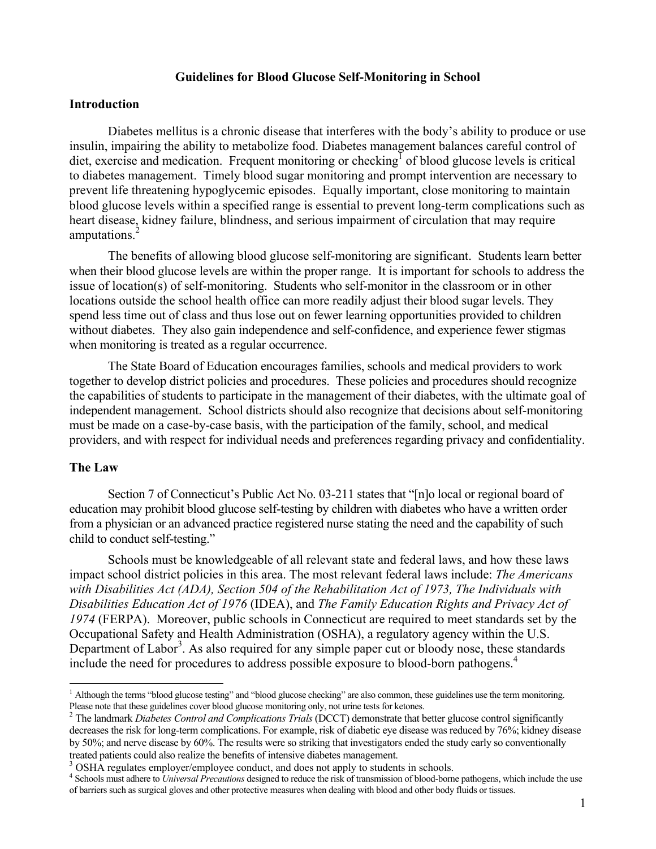#### **Guidelines for Blood Glucose Self-Monitoring in School**

#### **Introduction**

Diabetes mellitus is a chronic disease that interferes with the body's ability to produce or use insulin, impairing the ability to metabolize food. Diabetes management balances careful control of diet, exercise and medication. Frequent monitoring or checking<sup>1</sup> of blood glucose levels is critical to diabetes management. Timely blood sugar monitoring and prompt intervention are necessary to prevent life threatening hypoglycemic episodes. Equally important, close monitoring to maintain blood glucose levels within a specified range is essential to prevent long-term complications such as heart disease, kidney failure, blindness, and serious impairment of circulation that may require amputations.<sup>2</sup>

The benefits of allowing blood glucose self-monitoring are significant. Students learn better when their blood glucose levels are within the proper range. It is important for schools to address the issue of location(s) of self-monitoring. Students who self-monitor in the classroom or in other locations outside the school health office can more readily adjust their blood sugar levels. They spend less time out of class and thus lose out on fewer learning opportunities provided to children without diabetes. They also gain independence and self-confidence, and experience fewer stigmas when monitoring is treated as a regular occurrence.

The State Board of Education encourages families, schools and medical providers to work together to develop district policies and procedures. These policies and procedures should recognize the capabilities of students to participate in the management of their diabetes, with the ultimate goal of independent management. School districts should also recognize that decisions about self-monitoring must be made on a case-by-case basis, with the participation of the family, school, and medical providers, and with respect for individual needs and preferences regarding privacy and confidentiality.

#### **The Law**

Section 7 of Connecticut's Public Act No. 03-211 states that "[n]o local or regional board of education may prohibit blood glucose self-testing by children with diabetes who have a written order from a physician or an advanced practice registered nurse stating the need and the capability of such child to conduct self-testing."

Schools must be knowledgeable of all relevant state and federal laws, and how these laws impact school district policies in this area. The most relevant federal laws include: *The Americans with Disabilities Act (ADA), Section 504 of the Rehabilitation Act of 1973, The Individuals with Disabilities Education Act of 1976* (IDEA), and *The Family Education Rights and Privacy Act of 1974* (FERPA). Moreover, public schools in Connecticut are required to meet standards set by the Occupational Safety and Health Administration (OSHA), a regulatory agency within the U.S. Department of Labor<sup>3</sup>. As also required for any simple paper cut or bloody nose, these standards include the need for procedures to address possible exposure to blood-born pathogens.<sup>4</sup>

<sup>&</sup>lt;sup>1</sup> Although the terms "blood glucose testing" and "blood glucose checking" are also common, these guidelines use the term monitoring. Please note that these guidelines cover blood glucose monitoring only, not urine tests for ketones.

The landmark *Diabetes Control and Complications Trials* (DCCT) demonstrate that better glucose control significantly decreases the risk for long-term complications. For example, risk of diabetic eye disease was reduced by 76%; kidney disease by 50%; and nerve disease by 60%. The results were so striking that investigators ended the study early so conventionally treated patients could also realize the benefits of intensive diabetes management.

<sup>&</sup>lt;sup>3</sup> OSHA regulates employer/employee conduct, and does not apply to students in schools.

Schools must adhere to *Universal Precautions* designed to reduce the risk of transmission of blood-borne pathogens, which include the use of barriers such as surgical gloves and other protective measures when dealing with blood and other body fluids or tissues.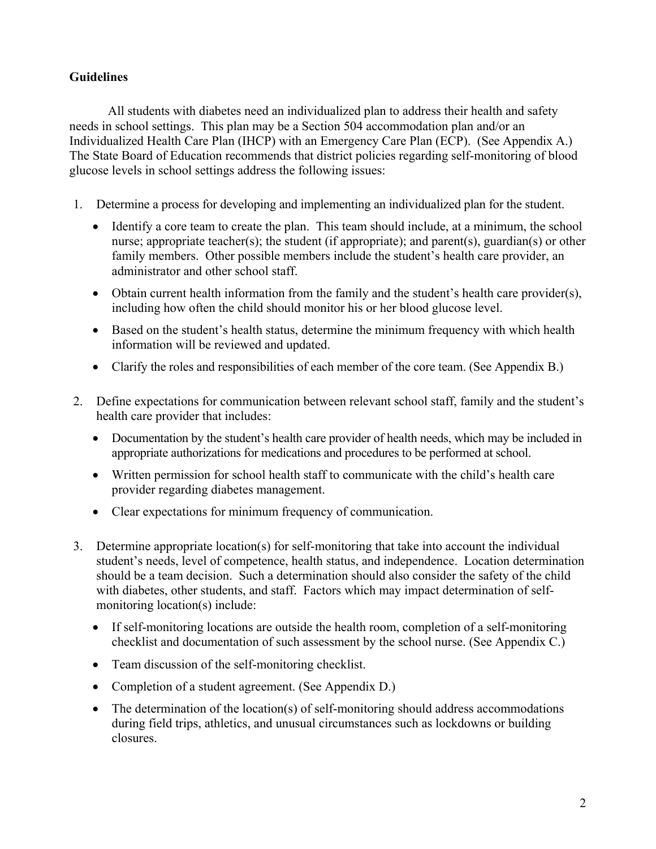# **Guidelines**

All students with diabetes need an individualized plan to address their health and safety needs in school settings. This plan may be a Section 504 accommodation plan and/or an Individualized Health Care Plan (IHCP) with an Emergency Care Plan (ECP). (See Appendix A.) The State Board of Education recommends that district policies regarding self-monitoring of blood glucose levels in school settings address the following issues:

- 1. Determine a process for developing and implementing an individualized plan for the student.
	- Identify a core team to create the plan. This team should include, at a minimum, the school nurse; appropriate teacher(s); the student (if appropriate); and parent(s), guardian(s) or other family members. Other possible members include the student's health care provider, an administrator and other school staff.
	- Obtain current health information from the family and the student's health care provider(s), including how often the child should monitor his or her blood glucose level.
	- Based on the student's health status, determine the minimum frequency with which health information will be reviewed and updated.
	- Clarify the roles and responsibilities of each member of the core team. (See Appendix B.)
- 2. Define expectations for communication between relevant school staff, family and the student's health care provider that includes:
	- Documentation by the student's health care provider of health needs, which may be included in appropriate authorizations for medications and procedures to be performed at school.
	- Written permission for school health staff to communicate with the child's health care provider regarding diabetes management.
	- Clear expectations for minimum frequency of communication.
- 3. Determine appropriate location(s) for self-monitoring that take into account the individual student's needs, level of competence, health status, and independence. Location determination should be a team decision. Such a determination should also consider the safety of the child with diabetes, other students, and staff. Factors which may impact determination of selfmonitoring location(s) include:
	- If self-monitoring locations are outside the health room, completion of a self-monitoring checklist and documentation of such assessment by the school nurse. (See Appendix C.)
	- Team discussion of the self-monitoring checklist.
	- Completion of a student agreement. (See Appendix D.)
	- The determination of the location(s) of self-monitoring should address accommodations during field trips, athletics, and unusual circumstances such as lockdowns or building closures.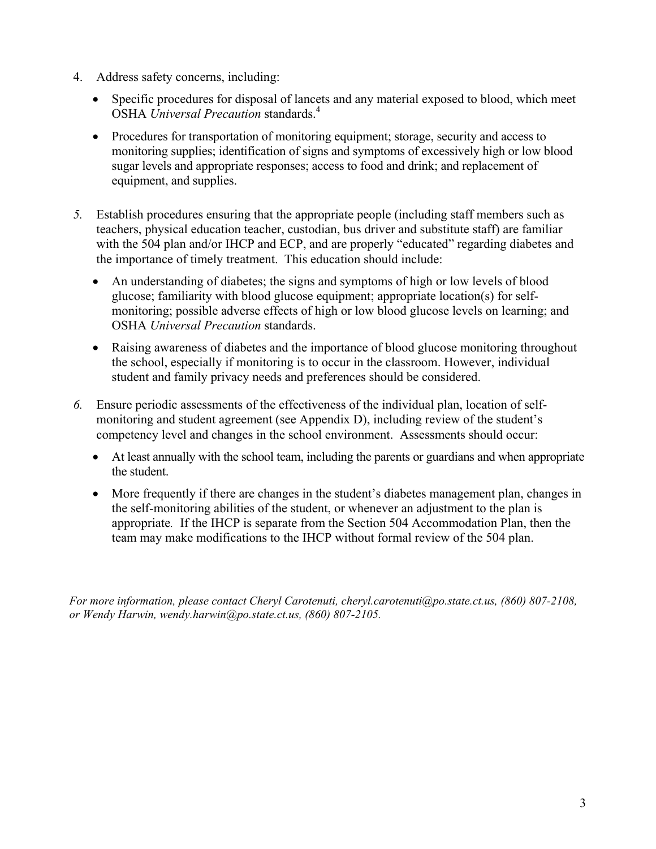- 4. Address safety concerns, including:
	- Specific procedures for disposal of lancets and any material exposed to blood, which meet OSHA *Universal Precaution* standards.4
	- Procedures for transportation of monitoring equipment; storage, security and access to monitoring supplies; identification of signs and symptoms of excessively high or low blood sugar levels and appropriate responses; access to food and drink; and replacement of equipment, and supplies.
- *5.* Establish procedures ensuring that the appropriate people (including staff members such as teachers, physical education teacher, custodian, bus driver and substitute staff) are familiar with the 504 plan and/or IHCP and ECP, and are properly "educated" regarding diabetes and the importance of timely treatment. This education should include:
	- An understanding of diabetes; the signs and symptoms of high or low levels of blood glucose; familiarity with blood glucose equipment; appropriate location(s) for selfmonitoring; possible adverse effects of high or low blood glucose levels on learning; and OSHA *Universal Precaution* standards.
	- Raising awareness of diabetes and the importance of blood glucose monitoring throughout the school, especially if monitoring is to occur in the classroom. However, individual student and family privacy needs and preferences should be considered.
- *6.* Ensure periodic assessments of the effectiveness of the individual plan, location of selfmonitoring and student agreement (see Appendix D), including review of the student's competency level and changes in the school environment. Assessments should occur:
	- At least annually with the school team, including the parents or guardians and when appropriate the student.
	- More frequently if there are changes in the student's diabetes management plan, changes in the self-monitoring abilities of the student, or whenever an adjustment to the plan is appropriate*.* If the IHCP is separate from the Section 504 Accommodation Plan, then the team may make modifications to the IHCP without formal review of the 504 plan.

*For more information, please contact Cheryl Carotenuti, cheryl.carotenuti@po.state.ct.us, (860) 807-2108, or Wendy Harwin, wendy.harwin@po.state.ct.us, (860) 807-2105.*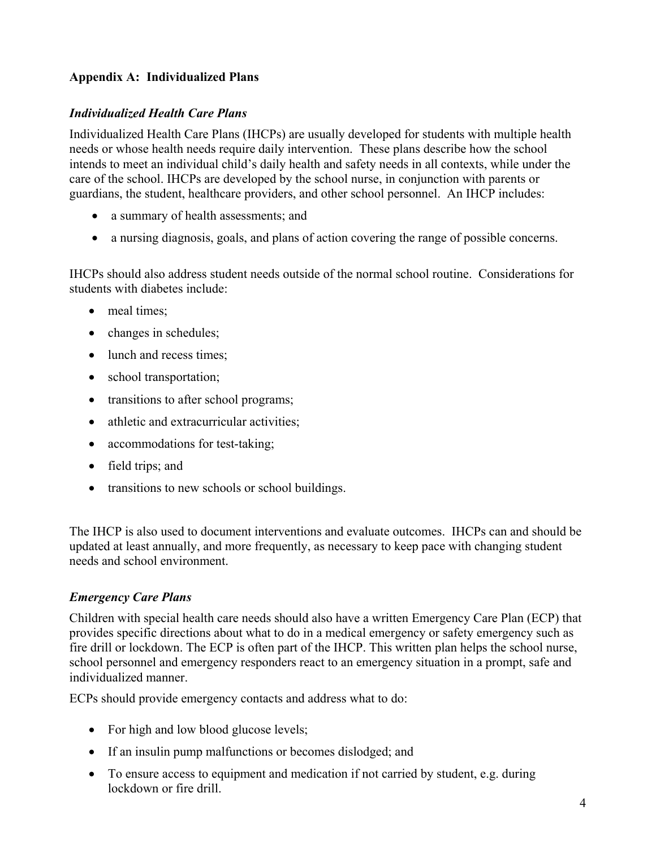# **Appendix A: Individualized Plans**

# *Individualized Health Care Plans*

Individualized Health Care Plans (IHCPs) are usually developed for students with multiple health needs or whose health needs require daily intervention. These plans describe how the school intends to meet an individual child's daily health and safety needs in all contexts, while under the care of the school. IHCPs are developed by the school nurse, in conjunction with parents or guardians, the student, healthcare providers, and other school personnel. An IHCP includes:

- a summary of health assessments; and
- a nursing diagnosis, goals, and plans of action covering the range of possible concerns.

IHCPs should also address student needs outside of the normal school routine. Considerations for students with diabetes include:

- meal times:
- changes in schedules;
- lunch and recess times;
- school transportation;
- transitions to after school programs;
- athletic and extracurricular activities;
- accommodations for test-taking;
- field trips; and
- transitions to new schools or school buildings.

The IHCP is also used to document interventions and evaluate outcomes. IHCPs can and should be updated at least annually, and more frequently, as necessary to keep pace with changing student needs and school environment.

# *Emergency Care Plans*

Children with special health care needs should also have a written Emergency Care Plan (ECP) that provides specific directions about what to do in a medical emergency or safety emergency such as fire drill or lockdown. The ECP is often part of the IHCP. This written plan helps the school nurse, school personnel and emergency responders react to an emergency situation in a prompt, safe and individualized manner.

ECPs should provide emergency contacts and address what to do:

- For high and low blood glucose levels;
- If an insulin pump malfunctions or becomes dislodged; and
- To ensure access to equipment and medication if not carried by student, e.g. during lockdown or fire drill.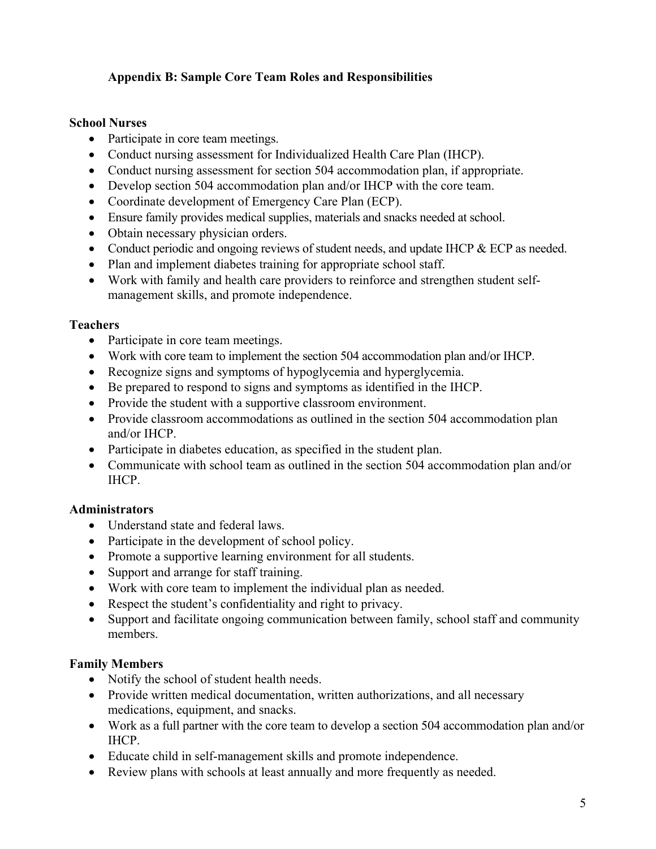# **Appendix B: Sample Core Team Roles and Responsibilities**

### **School Nurses**

- Participate in core team meetings.
- Conduct nursing assessment for Individualized Health Care Plan (IHCP).
- Conduct nursing assessment for section 504 accommodation plan, if appropriate.
- Develop section 504 accommodation plan and/or IHCP with the core team.
- Coordinate development of Emergency Care Plan (ECP).
- Ensure family provides medical supplies, materials and snacks needed at school.
- Obtain necessary physician orders.
- Conduct periodic and ongoing reviews of student needs, and update IHCP & ECP as needed.
- Plan and implement diabetes training for appropriate school staff.
- Work with family and health care providers to reinforce and strengthen student selfmanagement skills, and promote independence.

### **Teachers**

- Participate in core team meetings.
- Work with core team to implement the section 504 accommodation plan and/or IHCP.
- Recognize signs and symptoms of hypoglycemia and hyperglycemia.
- Be prepared to respond to signs and symptoms as identified in the IHCP.
- Provide the student with a supportive classroom environment.
- Provide classroom accommodations as outlined in the section 504 accommodation plan and/or IHCP.
- Participate in diabetes education, as specified in the student plan.
- Communicate with school team as outlined in the section 504 accommodation plan and/or IHCP.

# **Administrators**

- Understand state and federal laws.
- Participate in the development of school policy.
- Promote a supportive learning environment for all students.
- Support and arrange for staff training.
- Work with core team to implement the individual plan as needed.
- Respect the student's confidentiality and right to privacy.
- Support and facilitate ongoing communication between family, school staff and community members.

### **Family Members**

- Notify the school of student health needs.
- Provide written medical documentation, written authorizations, and all necessary medications, equipment, and snacks.
- Work as a full partner with the core team to develop a section 504 accommodation plan and/or IHCP.
- Educate child in self-management skills and promote independence.
- Review plans with schools at least annually and more frequently as needed.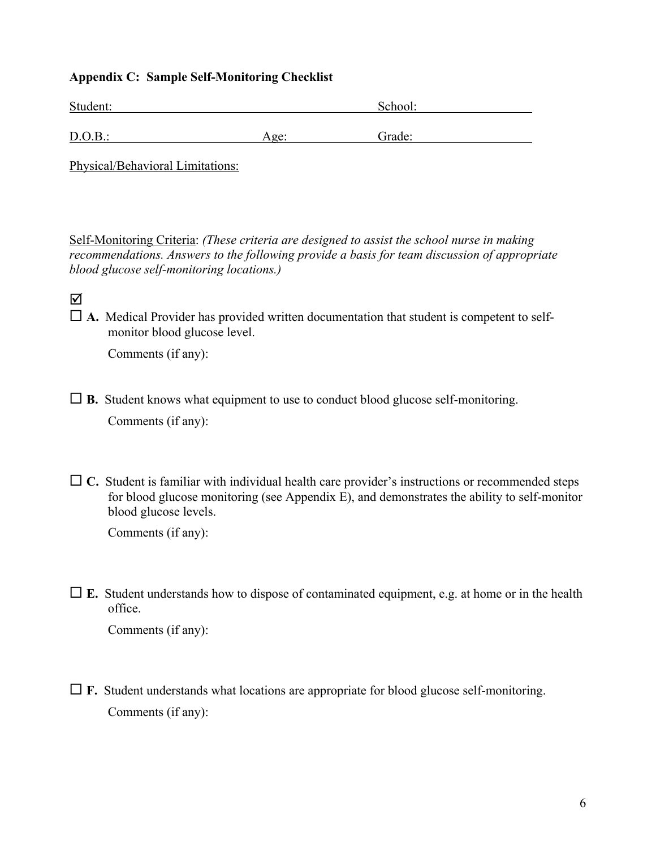# **Appendix C: Sample Self-Monitoring Checklist**

| Student: |      | School: |  |
|----------|------|---------|--|
|          |      |         |  |
| D.O.B.:  | Age: | Grade:  |  |

Physical/Behavioral Limitations:

Self-Monitoring Criteria: *(These criteria are designed to assist the school nurse in making recommendations. Answers to the following provide a basis for team discussion of appropriate blood glucose self-monitoring locations.)* 

 $\Delta$ 

 $\Box$  **A.** Medical Provider has provided written documentation that student is competent to selfmonitor blood glucose level.

Comments (if any):

 $\Box$  **B.** Student knows what equipment to use to conduct blood glucose self-monitoring. Comments (if any):

 $\Box$  C. Student is familiar with individual health care provider's instructions or recommended steps for blood glucose monitoring (see Appendix E), and demonstrates the ability to self-monitor blood glucose levels.

Comments (if any):

 **E.** Student understands how to dispose of contaminated equipment, e.g. at home or in the health office.

Comments (if any):

 $\Box$  **F.** Student understands what locations are appropriate for blood glucose self-monitoring. Comments (if any):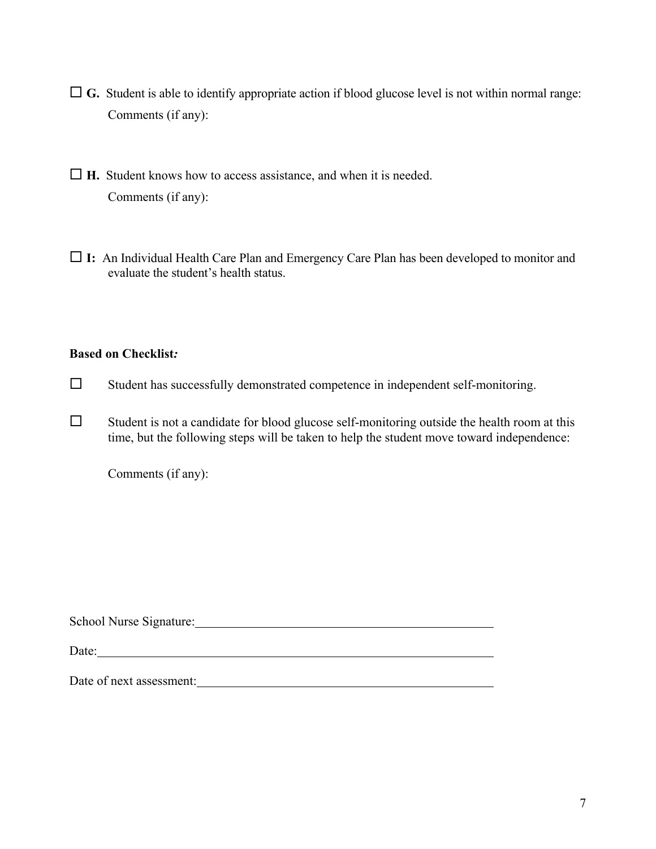- $\Box$  **G.** Student is able to identify appropriate action if blood glucose level is not within normal range: Comments (if any):
- **H.** Student knows how to access assistance, and when it is needed. Comments (if any):
- **I:** An Individual Health Care Plan and Emergency Care Plan has been developed to monitor and evaluate the student's health status.

### **Based on Checklist***:*

- $\square$  Student has successfully demonstrated competence in independent self-monitoring.
- $\square$  Student is not a candidate for blood glucose self-monitoring outside the health room at this time, but the following steps will be taken to help the student move toward independence:

Comments (if any):

School Nurse Signature: 2000 Museum Contract Contract Contract Contract Contract Contract Contract Contract Contract Contract Contract Contract Contract Contract Contract Contract Contract Contract Contract Contract Contra

Date:

Date of next assessment: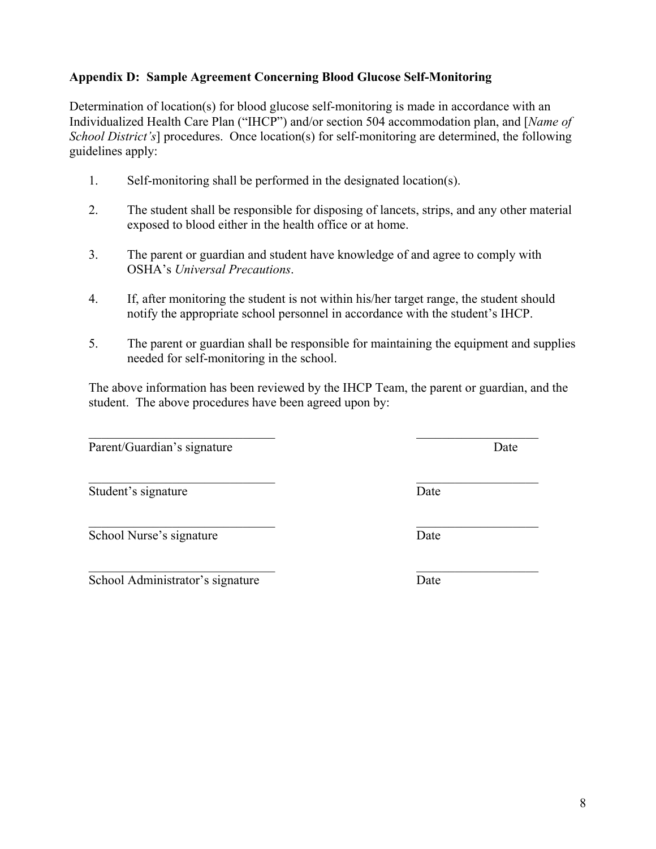8

# **Appendix D: Sample Agreement Concerning Blood Glucose Self-Monitoring**

Determination of location(s) for blood glucose self-monitoring is made in accordance with an Individualized Health Care Plan ("IHCP") and/or section 504 accommodation plan, and [*Name of School District's*] procedures. Once location(s) for self-monitoring are determined, the following guidelines apply:

- 1. Self-monitoring shall be performed in the designated location(s).
- 2. The student shall be responsible for disposing of lancets, strips, and any other material exposed to blood either in the health office or at home.
- 3. The parent or guardian and student have knowledge of and agree to comply with OSHA's *Universal Precautions*.
- 4. If, after monitoring the student is not within his/her target range, the student should notify the appropriate school personnel in accordance with the student's IHCP.
- 5. The parent or guardian shall be responsible for maintaining the equipment and supplies needed for self-monitoring in the school.

The above information has been reviewed by the IHCP Team, the parent or guardian, and the student. The above procedures have been agreed upon by:

 $\mathcal{L}_\text{max}$  , and the contract of the contract of the contract of the contract of the contract of the contract of the contract of the contract of the contract of the contract of the contract of the contract of the contr

Parent/Guardian's signature Date

Student's signature Date

School Nurse's signature Date

School Administrator's signature Date

 $\mathcal{L}_\text{max}$  , and the contract of the contract of the contract of the contract of the contract of the contract of the contract of the contract of the contract of the contract of the contract of the contract of the contr

 $\mathcal{L}_\text{max}$  and the contract of the contract of the contract of the contract of the contract of the contract of the contract of the contract of the contract of the contract of the contract of the contract of the contrac

 $\mathcal{L}_\text{max}$  , and the contract of the contract of the contract of the contract of the contract of the contract of the contract of the contract of the contract of the contract of the contract of the contract of the contr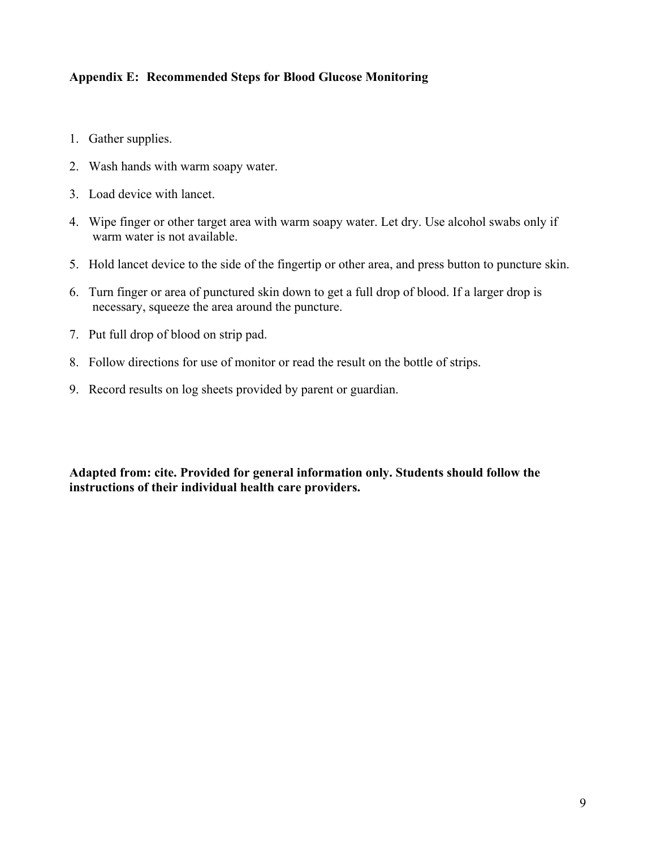# **Appendix E: Recommended Steps for Blood Glucose Monitoring**

- 1. Gather supplies.
- 2. Wash hands with warm soapy water.
- 3. Load device with lancet.
- 4. Wipe finger or other target area with warm soapy water. Let dry. Use alcohol swabs only if warm water is not available.
- 5. Hold lancet device to the side of the fingertip or other area, and press button to puncture skin.
- 6. Turn finger or area of punctured skin down to get a full drop of blood. If a larger drop is necessary, squeeze the area around the puncture.
- 7. Put full drop of blood on strip pad.
- 8. Follow directions for use of monitor or read the result on the bottle of strips.
- 9. Record results on log sheets provided by parent or guardian.

**Adapted from: cite. Provided for general information only. Students should follow the instructions of their individual health care providers.**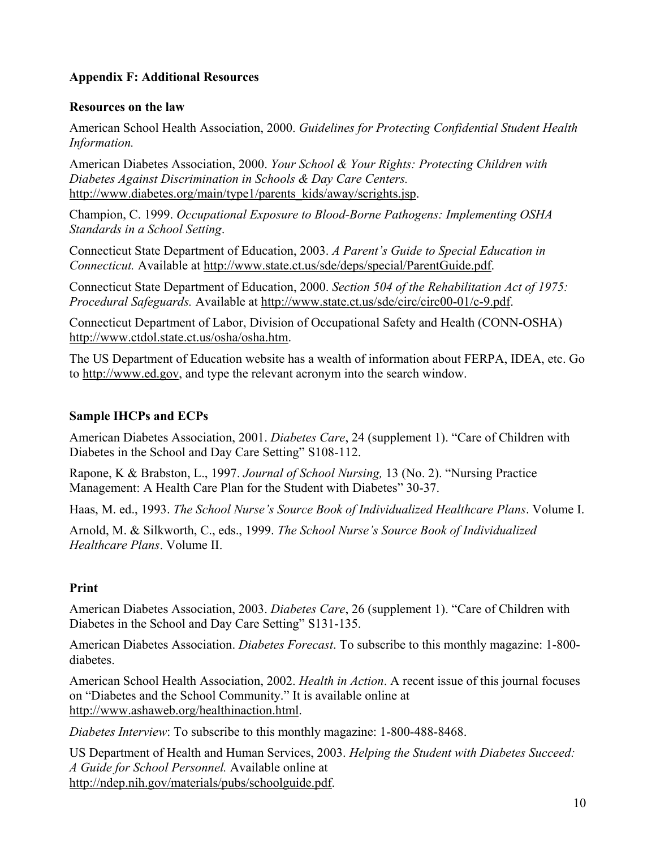# **Appendix F: Additional Resources**

### **Resources on the law**

American School Health Association, 2000. *Guidelines for Protecting Confidential Student Health Information.*

American Diabetes Association, 2000. *Your School & Your Rights: Protecting Children with Diabetes Against Discrimination in Schools & Day Care Centers.* http://www.diabetes.org/main/type1/parents\_kids/away/scrights.jsp.

Champion, C. 1999. *Occupational Exposure to Blood-Borne Pathogens: Implementing OSHA Standards in a School Setting*.

Connecticut State Department of Education, 2003. *A Parent's Guide to Special Education in Connecticut.* Available at http://www.state.ct.us/sde/deps/special/ParentGuide.pdf.

Connecticut State Department of Education, 2000. *Section 504 of the Rehabilitation Act of 1975: Procedural Safeguards.* Available at http://www.state.ct.us/sde/circ/circ00-01/c-9.pdf.

Connecticut Department of Labor, Division of Occupational Safety and Health (CONN-OSHA) http://www.ctdol.state.ct.us/osha/osha.htm.

The US Department of Education website has a wealth of information about FERPA, IDEA, etc. Go to http://www.ed.gov, and type the relevant acronym into the search window.

### **Sample IHCPs and ECPs**

American Diabetes Association, 2001. *Diabetes Care*, 24 (supplement 1). "Care of Children with Diabetes in the School and Day Care Setting" S108-112.

Rapone, K & Brabston, L., 1997. *Journal of School Nursing,* 13 (No. 2). "Nursing Practice Management: A Health Care Plan for the Student with Diabetes" 30-37.

Haas, M. ed., 1993. *The School Nurse's Source Book of Individualized Healthcare Plans*. Volume I.

Arnold, M. & Silkworth, C., eds., 1999. *The School Nurse's Source Book of Individualized Healthcare Plans*. Volume II.

# **Print**

American Diabetes Association, 2003. *Diabetes Care*, 26 (supplement 1). "Care of Children with Diabetes in the School and Day Care Setting" S131-135.

American Diabetes Association. *Diabetes Forecast*. To subscribe to this monthly magazine: 1-800 diabetes.

American School Health Association, 2002. *Health in Action*. A recent issue of this journal focuses on "Diabetes and the School Community." It is available online at http://www.ashaweb.org/healthinaction.html.

*Diabetes Interview*: To subscribe to this monthly magazine: 1-800-488-8468.

US Department of Health and Human Services, 2003. *Helping the Student with Diabetes Succeed: A Guide for School Personnel.* Available online at http://ndep.nih.gov/materials/pubs/schoolguide.pdf.